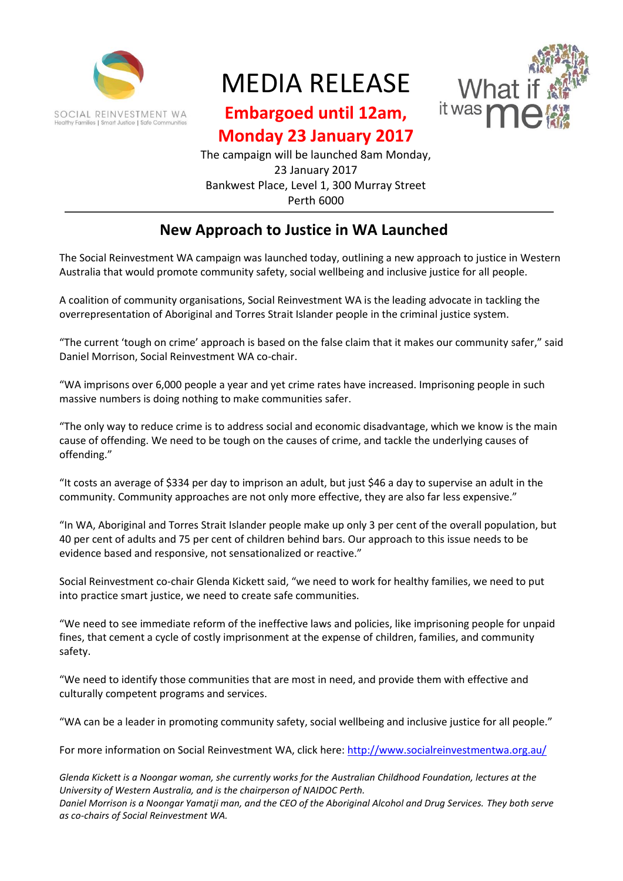

## MEDIA RELEASE



## **Embargoed until 12am,**

**Monday 23 January 2017**

The campaign will be launched 8am Monday, 23 January 2017 Bankwest Place, Level 1, 300 Murray Street Perth 6000

## **New Approach to Justice in WA Launched**

The Social Reinvestment WA campaign was launched today, outlining a new approach to justice in Western Australia that would promote community safety, social wellbeing and inclusive justice for all people.

A coalition of community organisations, Social Reinvestment WA is the leading advocate in tackling the overrepresentation of Aboriginal and Torres Strait Islander people in the criminal justice system.

"The current 'tough on crime' approach is based on the false claim that it makes our community safer," said Daniel Morrison, Social Reinvestment WA co-chair.

"WA imprisons over 6,000 people a year and yet crime rates have increased. Imprisoning people in such massive numbers is doing nothing to make communities safer.

"The only way to reduce crime is to address social and economic disadvantage, which we know is the main cause of offending. We need to be tough on the causes of crime, and tackle the underlying causes of offending."

"It costs an average of \$334 per day to imprison an adult, but just \$46 a day to supervise an adult in the community. Community approaches are not only more effective, they are also far less expensive."

"In WA, Aboriginal and Torres Strait Islander people make up only 3 per cent of the overall population, but 40 per cent of adults and 75 per cent of children behind bars. Our approach to this issue needs to be evidence based and responsive, not sensationalized or reactive."

Social Reinvestment co-chair Glenda Kickett said, "we need to work for healthy families, we need to put into practice smart justice, we need to create safe communities.

"We need to see immediate reform of the ineffective laws and policies, like imprisoning people for unpaid fines, that cement a cycle of costly imprisonment at the expense of children, families, and community safety.

"We need to identify those communities that are most in need, and provide them with effective and culturally competent programs and services.

"WA can be a leader in promoting community safety, social wellbeing and inclusive justice for all people."

For more information on Social Reinvestment WA, click here:<http://www.socialreinvestmentwa.org.au/>

*Glenda Kickett is a Noongar woman, she currently works for the Australian Childhood Foundation, lectures at the University of Western Australia, and is the chairperson of NAIDOC Perth. Daniel Morrison is a Noongar Yamatji man, and the CEO of the Aboriginal Alcohol and Drug Services. They both serve as co-chairs of Social Reinvestment WA.*